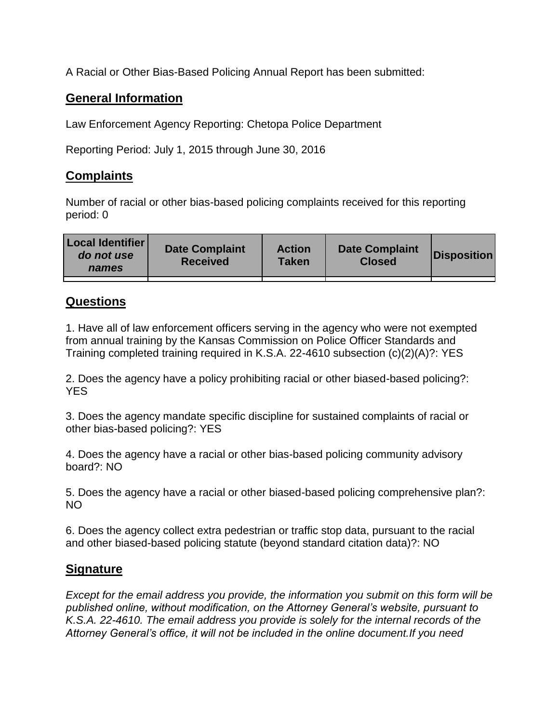A Racial or Other Bias-Based Policing Annual Report has been submitted:

## **General Information**

Law Enforcement Agency Reporting: Chetopa Police Department

Reporting Period: July 1, 2015 through June 30, 2016

## **Complaints**

Number of racial or other bias-based policing complaints received for this reporting period: 0

| <b>Local Identifier</b><br>do not use<br>names | <b>Date Complaint</b><br><b>Received</b> | <b>Action</b><br><b>Taken</b> | <b>Date Complaint</b><br><b>Closed</b> | Disposition |
|------------------------------------------------|------------------------------------------|-------------------------------|----------------------------------------|-------------|
|                                                |                                          |                               |                                        |             |

## **Questions**

1. Have all of law enforcement officers serving in the agency who were not exempted from annual training by the Kansas Commission on Police Officer Standards and Training completed training required in K.S.A. 22-4610 subsection (c)(2)(A)?: YES

2. Does the agency have a policy prohibiting racial or other biased-based policing?: YES

3. Does the agency mandate specific discipline for sustained complaints of racial or other bias-based policing?: YES

4. Does the agency have a racial or other bias-based policing community advisory board?: NO

5. Does the agency have a racial or other biased-based policing comprehensive plan?: NO

6. Does the agency collect extra pedestrian or traffic stop data, pursuant to the racial and other biased-based policing statute (beyond standard citation data)?: NO

## **Signature**

*Except for the email address you provide, the information you submit on this form will be published online, without modification, on the Attorney General's website, pursuant to K.S.A. 22-4610. The email address you provide is solely for the internal records of the Attorney General's office, it will not be included in the online document.If you need*